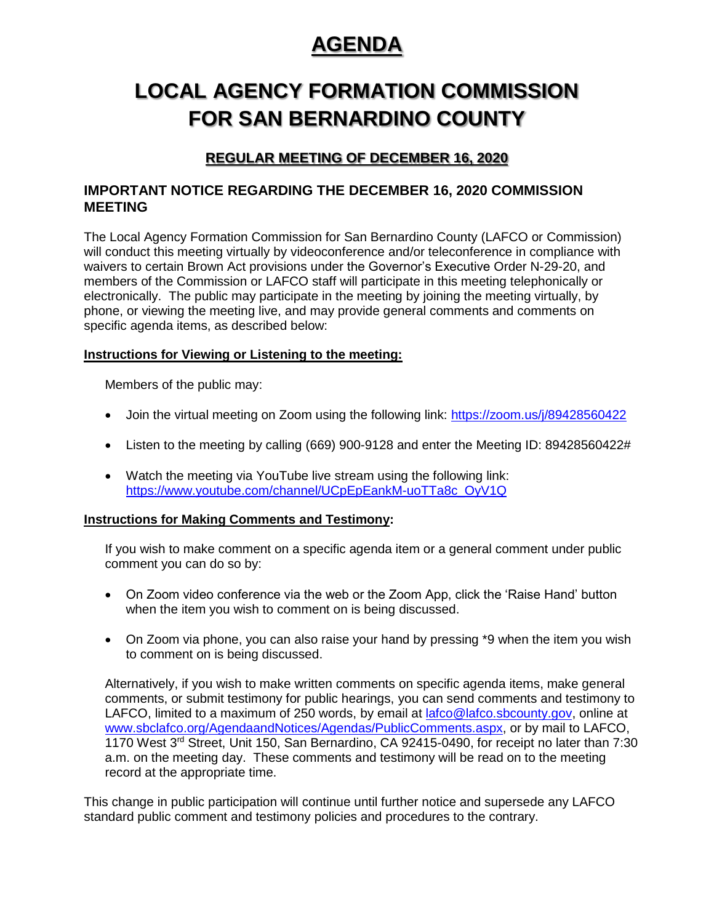# **AGENDA**

# **LOCAL AGENCY FORMATION COMMISSION FOR SAN BERNARDINO COUNTY**

# **REGULAR MEETING OF DECEMBER 16, 2020**

#### **IMPORTANT NOTICE REGARDING THE DECEMBER 16, 2020 COMMISSION MEETING**

The Local Agency Formation Commission for San Bernardino County (LAFCO or Commission) will conduct this meeting virtually by videoconference and/or teleconference in compliance with waivers to certain Brown Act provisions under the Governor's Executive Order N-29-20, and members of the Commission or LAFCO staff will participate in this meeting telephonically or electronically. The public may participate in the meeting by joining the meeting virtually, by phone, or viewing the meeting live, and may provide general comments and comments on specific agenda items, as described below:

#### **Instructions for Viewing or Listening to the meeting:**

Members of the public may:

- Join the virtual meeting on Zoom using the following link:<https://zoom.us/j/89428560422>
- Listen to the meeting by calling (669) 900-9128 and enter the Meeting ID: 89428560422#
- Watch the meeting via YouTube live stream using the following link: [https://www.youtube.com/channel/UCpEpEankM-uoTTa8c\\_OyV1Q](https://www.youtube.com/channel/UCpEpEankM-uoTTa8c_OyV1Q)

#### **Instructions for Making Comments and Testimony:**

If you wish to make comment on a specific agenda item or a general comment under public comment you can do so by:

- On Zoom video conference via the web or the Zoom App, click the 'Raise Hand' button when the item you wish to comment on is being discussed.
- On Zoom via phone, you can also raise your hand by pressing \*9 when the item you wish to comment on is being discussed.

Alternatively, if you wish to make written comments on specific agenda items, make general comments, or submit testimony for public hearings, you can send comments and testimony to LAFCO, limited to a maximum of 250 words, by email at [lafco@lafco.sbcounty.gov,](mailto:lafco@lafco.sbcounty.gov) online at [www.sbclafco.org/AgendaandNotices/Agendas/PublicComments.aspx,](http://www.sbclafco.org/AgendaandNotices/Agendas/PublicComments.aspx) or by mail to LAFCO, 1170 West 3rd Street, Unit 150, San Bernardino, CA 92415-0490, for receipt no later than 7:30 a.m. on the meeting day. These comments and testimony will be read on to the meeting record at the appropriate time.

This change in public participation will continue until further notice and supersede any LAFCO standard public comment and testimony policies and procedures to the contrary.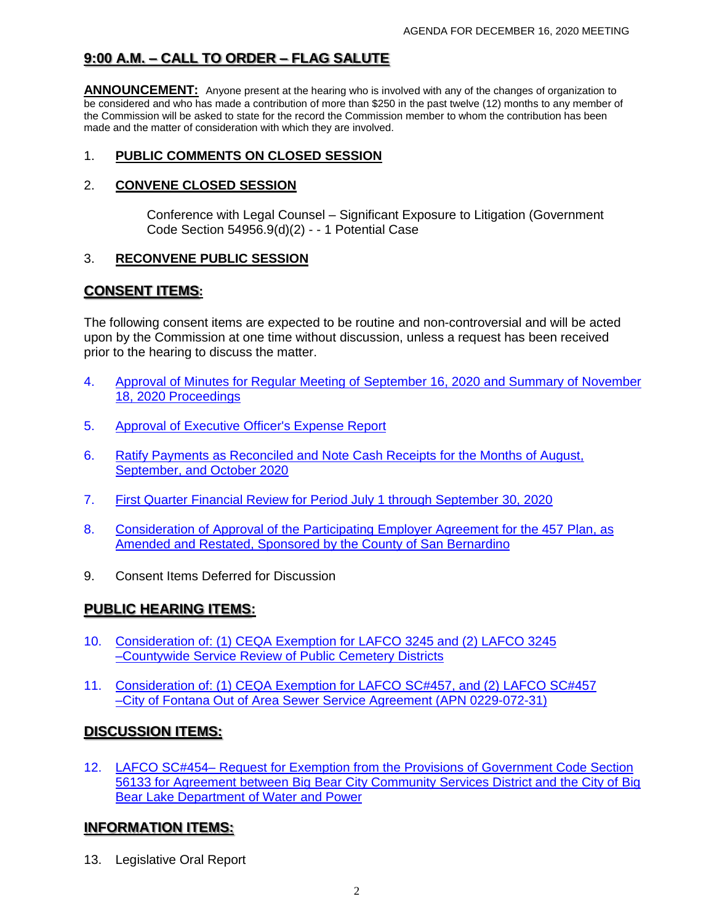# **9:00 A.M. – CALL TO ORDER – FLAG SALUTE**

**ANNOUNCEMENT:** Anyone present at the hearing who is involved with any of the changes of organization to be considered and who has made a contribution of more than \$250 in the past twelve (12) months to any member of the Commission will be asked to state for the record the Commission member to whom the contribution has been made and the matter of consideration with which they are involved.

#### 1. **PUBLIC COMMENTS ON CLOSED SESSION**

#### 2. **CONVENE CLOSED SESSION**

Conference with Legal Counsel – Significant Exposure to Litigation (Government Code Section 54956.9(d)(2) - - 1 Potential Case

#### 3. **RECONVENE PUBLIC SESSION**

## **CONSENT ITEMS:**

The following consent items are expected to be routine and non-controversial and will be acted upon by the Commission at one time without discussion, unless a request has been received prior to the hearing to discuss the matter.

- 4. [Approval of Minutes for Regular Meeting of September 16, 2020](http://www.sbcounty.gov/uploads/LAFCO/AgendaNotices/20201216/Item_04.pdf) and Summary of November 18, 2020 Proceedings
- 5. [Approval of Executive Officer's Expense Report](http://www.sbcounty.gov/uploads/LAFCO/AgendaNotices/20201216/Item_05.pdf)
- 6. [Ratify Payments as Reconciled and Note Cash Receipts for the Months of August,](http://www.sbcounty.gov/uploads/LAFCO/AgendaNotices/20201216/Item_06.pdf) September, and October 2020
- 7. [First Quarter Financial Review for Period July 1 through September 30, 2020](http://www.sbcounty.gov/uploads/LAFCO/AgendaNotices/20201216/Item_07.pdf)
- 8. [Consideration of Approval of the Participating Employer Agreement for the 457 Plan, as](http://www.sbcounty.gov/uploads/LAFCO/AgendaNotices/20201216/Item_08.pdf) Amended and Restated, Sponsored by the County of San Bernardino
- 9. Consent Items Deferred for Discussion

### **PUBLIC HEARING ITEMS:**

- 10. [Consideration of: \(1\) CEQA Exemption for LAFCO 3245 and \(2\) LAFCO 3245](http://www.sbcounty.gov/uploads/LAFCO/AgendaNotices/20201216/Item_10.pdf) –Countywide Service Review of Public Cemetery Districts
- 11. [Consideration of: \(1\) CEQA Exemption for LAFCO SC#457, and \(2\) LAFCO SC#457](http://www.sbcounty.gov/uploads/LAFCO/AgendaNotices/20201216/Item_11.pdf)  –City of Fontana Out of Area Sewer Service Agreement (APN 0229-072-31)

### **DISCUSSION ITEMS:**

12. LAFCO SC#454– Request for Exemption from the Provisions of Government Code Section [56133 for Agreement between Big Bear City Community Services District and the City of Big](http://www.sbcounty.gov/uploads/LAFCO/AgendaNotices/20201216/Item_12.pdf) Bear Lake Department of Water and Power

## **INFORMATION ITEMS:**

13. Legislative Oral Report